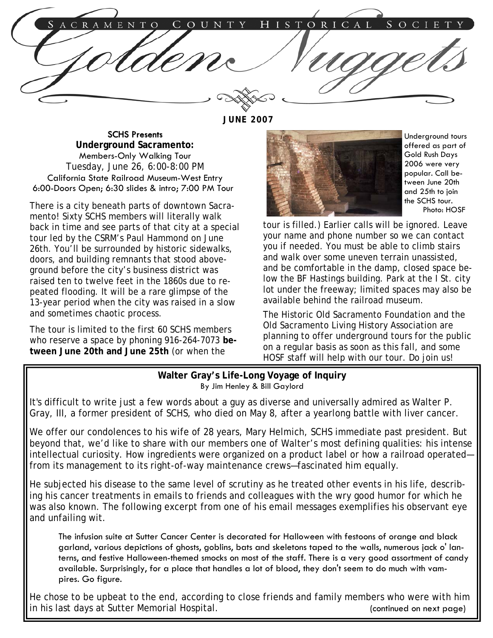C R A M RICAL H S T O  $E$ N

**JUNE 2007** 

SCHS Presents **Underground Sacramento:**  Members-Only Walking Tour Tuesday, June 26, 6:00-8:00 PM California State Railroad Museum-West Entry 6:00-Doors Open; 6:30 slides & intro; 7:00 PM Tour

There is a city beneath parts of downtown Sacramento! Sixty SCHS members will literally walk back in time and see parts of that city at a special tour led by the CSRM's Paul Hammond on June 26th. You'll be surrounded by historic sidewalks, doors, and building remnants that stood aboveground before the city's business district was raised ten to twelve feet in the 1860s due to repeated flooding. It will be a rare glimpse of the 13-year period when the city was raised in a slow and sometimes chaotic process.

The tour is limited to the first 60 SCHS members who reserve a space by phoning 916-264-7073 **between June 20th and June 25th** (or when the



Underground tours offered as part of Gold Rush Days 2006 were very popular. Call between June 20th and 25th to join the SCHS tour. Photo: HOSF

tour is filled.) Earlier calls will be ignored. Leave your name and phone number so we can contact you if needed. You must be able to climb stairs and walk over some uneven terrain unassisted, and be comfortable in the damp, closed space below the BF Hastings building. Park at the I St. city lot under the freeway; limited spaces may also be available behind the railroad museum.

The Historic Old Sacramento Foundation and the Old Sacramento Living History Association are planning to offer underground tours for the public on a regular basis as soon as this fall, and some HOSF staff will help with our tour. Do join us!

## **Walter Gray's Life-Long Voyage of Inquiry**  By Jim Henley & Bill Gaylord

It's difficult to write just a few words about a guy as diverse and universally admired as Walter P. Gray, III, a former president of SCHS, who died on May 8, after a yearlong battle with liver cancer.

We offer our condolences to his wife of 28 years, Mary Helmich, SCHS immediate past president. But beyond that, we'd like to share with our members one of Walter's most defining qualities: his intense intellectual curiosity. How ingredients were organized on a product label or how a railroad operated from its management to its right-of-way maintenance crews—fascinated him equally.

He subjected his disease to the same level of scrutiny as he treated other events in his life, describing his cancer treatments in emails to friends and colleagues with the wry good humor for which he was also known. The following excerpt from one of his email messages exemplifies his observant eye and unfailing wit.

The infusion suite at Sutter Cancer Center is decorated for Halloween with festoons of orange and black garland, various depictions of ghosts, goblins, bats and skeletons taped to the walls, numerous jack o' lanterns, and festive Halloween-themed smocks on most of the staff. There is a very good assortment of candy available. Surprisingly, for a place that handles a lot of blood, they don't seem to do much with vampires. Go figure.

He chose to be upbeat to the end, according to close friends and family members who were with him in his last days at Sutter Memorial Hospital. The state of the continued on next page)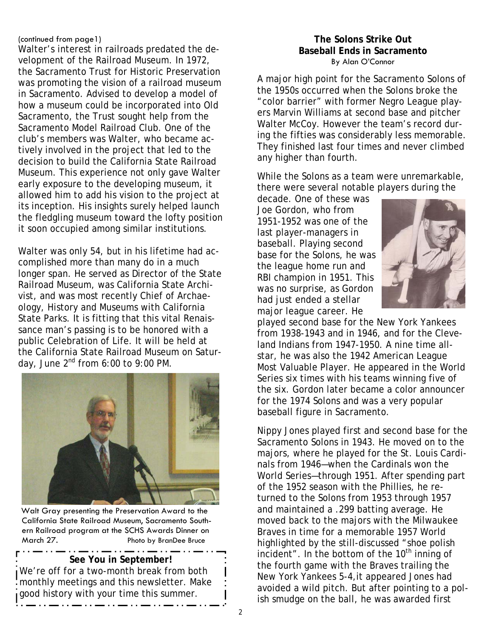## (continued from page1)

Walter's interest in railroads predated the development of the Railroad Museum. In 1972, the Sacramento Trust for Historic Preservation was promoting the vision of a railroad museum in Sacramento. Advised to develop a model of how a museum could be incorporated into Old Sacramento, the Trust sought help from the Sacramento Model Railroad Club. One of the club's members was Walter, who became actively involved in the project that led to the decision to build the California State Railroad Museum. This experience not only gave Walter early exposure to the developing museum, it allowed him to add his vision to the project at its inception. His insights surely helped launch the fledgling museum toward the lofty position it soon occupied among similar institutions.

Walter was only 54, but in his lifetime had accomplished more than many do in a much longer span. He served as Director of the State Railroad Museum, was California State Archivist, and was most recently Chief of Archaeology, History and Museums with California State Parks. It is fitting that this vital Renaissance man's passing is to be honored with a public Celebration of Life. It will be held at the California State Railroad Museum on Saturday, June  $2^{nd}$  from 6:00 to 9:00 PM.



Walt Gray presenting the Preservation Award to the California State Railroad Museum, Sacramento Southern Railroad program at the SCHS Awards Dinner on March 27. Photo by BranDee Bruce

#### . . . .. **See You in September!**

We're off for a two-month break from both monthly meetings and this newsletter. Make good history with your time this summer.

## **The Solons Strike Out Baseball Ends in Sacramento**  By Alan O'Connor

A major high point for the Sacramento Solons of the 1950s occurred when the Solons broke the "color barrier" with former Negro League players Marvin Williams at second base and pitcher Walter McCoy. However the team's record during the fifties was considerably less memorable. They finished last four times and never climbed any higher than fourth.

While the Solons as a team were unremarkable, there were several notable players during the

decade. One of these was Joe Gordon, who from 1951-1952 was one of the last player-managers in baseball. Playing second base for the Solons, he was the league home run and RBI champion in 1951. This was no surprise, as Gordon had just ended a stellar major league career. He



played second base for the New York Yankees from 1938-1943 and in 1946, and for the Cleveland Indians from 1947-1950. A nine time allstar, he was also the 1942 American League Most Valuable Player. He appeared in the World Series six times with his teams winning five of the six. Gordon later became a color announcer for the 1974 Solons and was a very popular baseball figure in Sacramento.

Nippy Jones played first and second base for the Sacramento Solons in 1943. He moved on to the majors, where he played for the St. Louis Cardinals from 1946—when the Cardinals won the World Series—through 1951. After spending part of the 1952 season with the Phillies, he returned to the Solons from 1953 through 1957 and maintained a .299 batting average. He moved back to the majors with the Milwaukee Braves in time for a memorable 1957 World highlighted by the still-discussed "shoe polish incident". In the bottom of the  $10<sup>th</sup>$  inning of the fourth game with the Braves trailing the New York Yankees 5-4,it appeared Jones had avoided a wild pitch. But after pointing to a polish smudge on the ball, he was awarded first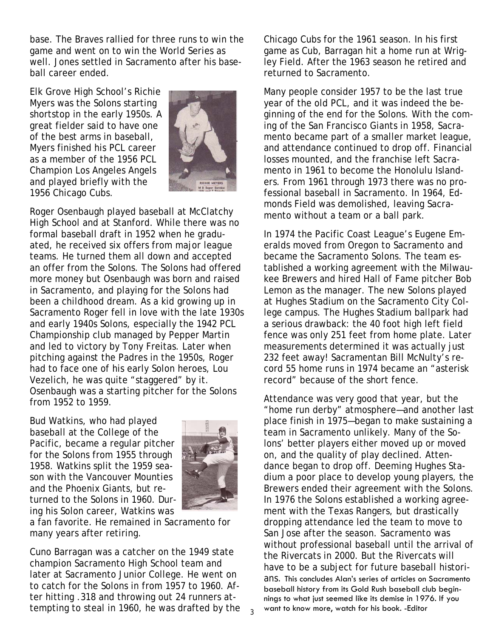base. The Braves rallied for three runs to win the game and went on to win the World Series as well. Jones settled in Sacramento after his baseball career ended.

Elk Grove High School's Richie Myers was the Solons starting shortstop in the early 1950s. A great fielder said to have one of the best arms in baseball, Myers finished his PCL career as a member of the 1956 PCL Champion Los Angeles Angels and played briefly with the 1956 Chicago Cubs.



Roger Osenbaugh played baseball at McClatchy High School and at Stanford. While there was no formal baseball draft in 1952 when he graduated, he received six offers from major league teams. He turned them all down and accepted an offer from the Solons. The Solons had offered more money but Osenbaugh was born and raised in Sacramento, and playing for the Solons had been a childhood dream. As a kid growing up in Sacramento Roger fell in love with the late 1930s and early 1940s Solons, especially the 1942 PCL Championship club managed by Pepper Martin and led to victory by Tony Freitas. Later when pitching against the Padres in the 1950s, Roger had to face one of his early Solon heroes, Lou Vezelich, he was quite "staggered" by it. Osenbaugh was a starting pitcher for the Solons from 1952 to 1959.

Bud Watkins, who had played baseball at the College of the Pacific, became a regular pitcher for the Solons from 1955 through 1958. Watkins split the 1959 season with the Vancouver Mounties and the Phoenix Giants, but returned to the Solons in 1960. During his Solon career, Watkins was



a fan favorite. He remained in Sacramento for many years after retiring.

Cuno Barragan was a catcher on the 1949 state champion Sacramento High School team and later at Sacramento Junior College. He went on to catch for the Solons in from 1957 to 1960. After hitting .318 and throwing out 24 runners attempting to steal in 1960, he was drafted by the Chicago Cubs for the 1961 season. In his first game as Cub, Barragan hit a home run at Wrigley Field. After the 1963 season he retired and returned to Sacramento.

Many people consider 1957 to be the last true year of the old PCL, and it was indeed the beginning of the end for the Solons. With the coming of the San Francisco Giants in 1958, Sacramento became part of a smaller market league, and attendance continued to drop off. Financial losses mounted, and the franchise left Sacramento in 1961 to become the Honolulu Islanders. From 1961 through 1973 there was no professional baseball in Sacramento. In 1964, Edmonds Field was demolished, leaving Sacramento without a team or a ball park.

In 1974 the Pacific Coast League's Eugene Emeralds moved from Oregon to Sacramento and became the Sacramento Solons. The team established a working agreement with the Milwaukee Brewers and hired Hall of Fame pitcher Bob Lemon as the manager. The new Solons played at Hughes Stadium on the Sacramento City College campus. The Hughes Stadium ballpark had a serious drawback: the 40 foot high left field fence was only 251 feet from home plate. Later measurements determined it was actually just 232 feet away! Sacramentan Bill McNulty's record 55 home runs in 1974 became an "asterisk record" because of the short fence.

Attendance was very good that year, but the "home run derby" atmosphere—and another last place finish in 1975—began to make sustaining a team in Sacramento unlikely. Many of the Solons' better players either moved up or moved on, and the quality of play declined. Attendance began to drop off. Deeming Hughes Stadium a poor place to develop young players, the Brewers ended their agreement with the Solons. In 1976 the Solons established a working agreement with the Texas Rangers, but drastically dropping attendance led the team to move to San Jose after the season. Sacramento was without professional baseball until the arrival of the Rivercats in 2000. But the Rivercats will have to be a subject for future baseball historians. This concludes Alan's series of articles on Sacramento baseball history from its Gold Rush baseball club beginnings to what just seemed like its demise in 1976. If you want to know more, watch for his book. -Editor